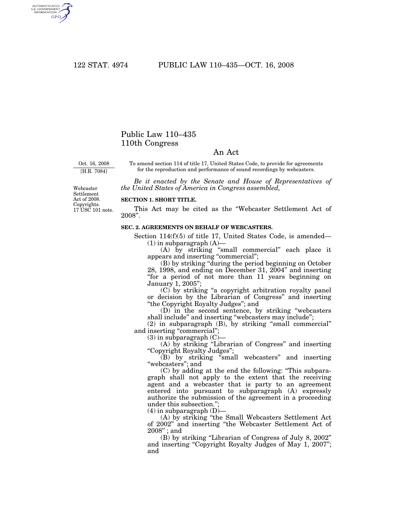AUTHENTICATED<br>U.S. GOVERNMENT<br>INFORMATION **GPO** 

## Public Law 110–435 110th Congress

## An Act

Oct. 16, 2008 [H.R. 7084]

To amend section 114 of title 17, United States Code, to provide for agreements for the reproduction and performance of sound recordings by webcasters.

*Be it enacted by the Senate and House of Representatives of the United States of America in Congress assembled,* 

Webcaster Settlement Act of 2008. Copyrights. 17 USC 101 note.

## **SECTION 1. SHORT TITLE.**

This Act may be cited as the ''Webcaster Settlement Act of 2008''.

## **SEC. 2. AGREEMENTS ON BEHALF OF WEBCASTERS.**

Section 114(f)(5) of title 17, United States Code, is amended— (1) in subparagraph (A)—

(A) by striking ''small commercial'' each place it appears and inserting "commercial";

(B) by striking ''during the period beginning on October 28, 1998, and ending on December 31, 2004'' and inserting "for a period of not more than 11 years beginning on January 1, 2005'';

(C) by striking ''a copyright arbitration royalty panel or decision by the Librarian of Congress'' and inserting ''the Copyright Royalty Judges''; and

(D) in the second sentence, by striking ''webcasters shall include'' and inserting ''webcasters may include''; (2) in subparagraph (B), by striking ''small commercial''

and inserting "commercial";

 $(3)$  in subparagraph  $(C)$ –

(A) by striking ''Librarian of Congress'' and inserting ''Copyright Royalty Judges'';

(B) by striking ''small webcasters'' and inserting "webcasters"; and

(C) by adding at the end the following: ''This subparagraph shall not apply to the extent that the receiving agent and a webcaster that is party to an agreement entered into pursuant to subparagraph (A) expressly authorize the submission of the agreement in a proceeding under this subsection.'';

 $(4)$  in subparagraph  $(D)$ –

(A) by striking ''the Small Webcasters Settlement Act of 2002'' and inserting ''the Webcaster Settlement Act of 2008'' ; and

(B) by striking ''Librarian of Congress of July 8, 2002'' and inserting "Copyright Royalty Judges of May 1, 2007"; and